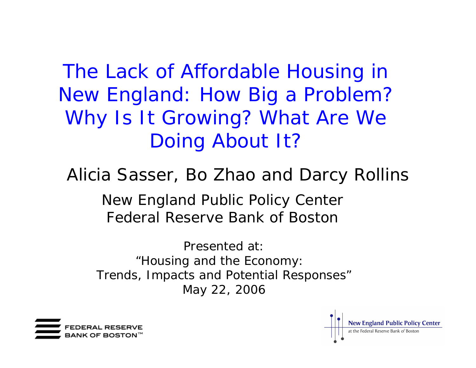The Lack of Affordable Housing in New England: How Big a Problem? Why Is It Growing? What Are We Doing About It?

Alicia Sasser, Bo Zhao and Darcy Rollins

New England Public Policy Center Federal Reserve Bank of Boston

Presented at:"Housing and the Economy: Trends, Impacts and Potential Responses" May 22, 2006



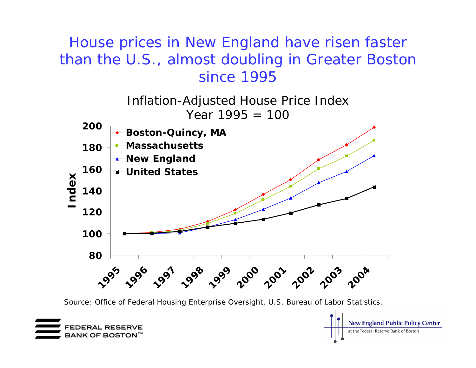House prices in New England have risen faster than the U.S., almost doubling in Greater Boston since 1995



Source: Office of Federal Housing Enterprise Oversight, U.S. Bureau of Labor Statistics.



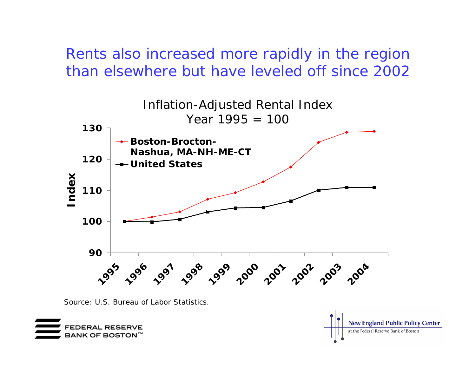Rents also increased more rapidly in the region than elsewhere but have leveled off since 2002



Source: U.S. Bureau of Labor Statistics.



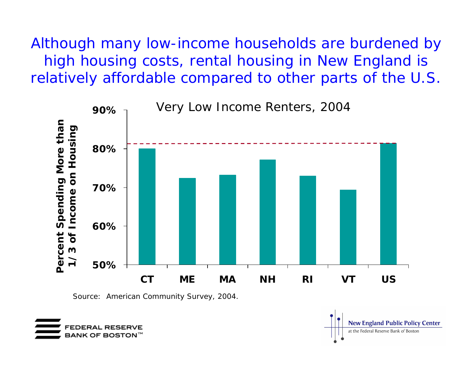Although many low-income households are burdened by high housing costs, rental housing in New England is relatively affordable compared to other parts of the U.S.



Source: American Community Survey, 2004.



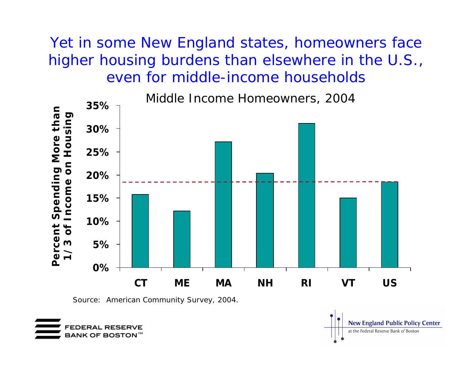Yet in some New England states, homeowners face higher housing burdens than elsewhere in the U.S., even for middle-income households



Source: American Community Survey, 2004.



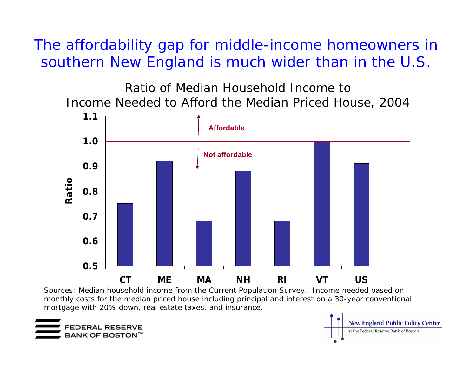The affordability gap for middle-income homeowners in southern New England is much wider than in the U.S.

Ratio of Median Household Income to Income Needed to Afford the Median Priced House, 2004



**New England Public Policy Center** 

at the Federal Reserve Bank of Boston

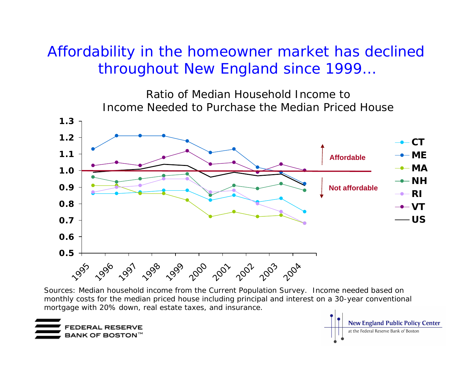### Affordability in the homeowner market has declined throughout New England since 1999…

Ratio of Median Household Income to Income Needed to Purchase the Median Priced House



Sources: Median household income from the Current Population Survey. Income needed based on monthly costs for the median priced house including principal and interest on a 30-year conventional mortgage with 20% down, real estate taxes, and insurance.



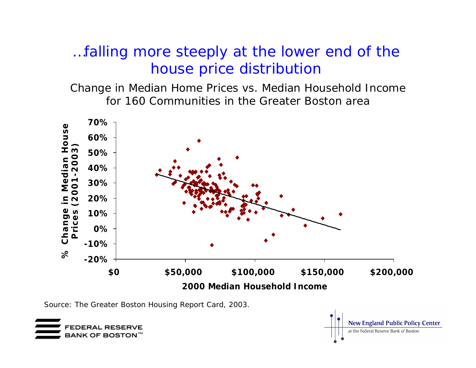### …falling more steeply at the lower end of the house price distribution

Change in Median Home Prices vs. Median Household Income for 160 Communities in the Greater Boston area



**BANK OF BOSTON**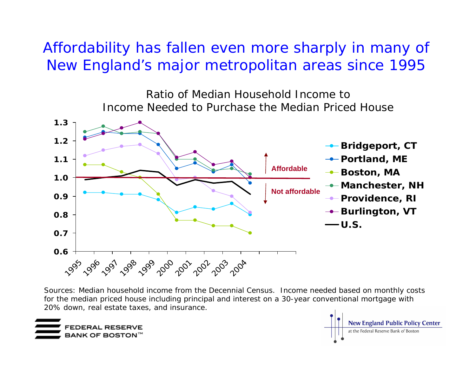Affordability has fallen even more sharply in many of New England's major metropolitan areas since 1995

> Ratio of Median Household Income to Income Needed to Purchase the Median Priced House



Sources: Median household income from the Decennial Census. Income needed based on monthly costs for the median priced house including principal and interest on a 30-year conventional mortgage with 2 0 % down, r e al e state ta x e s, a nd i n s uranc e.



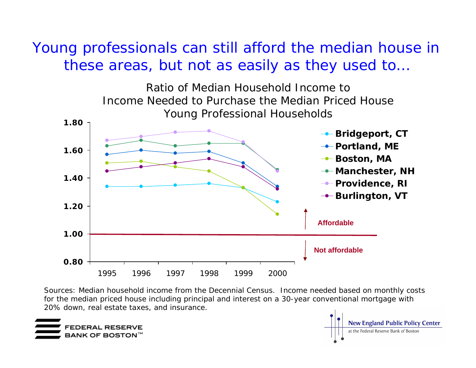#### Young professionals can still afford the median house in these areas, but not as easily as they used to…

Ratio of Median Household Income to Income Needed to Purchase the Median Priced HouseYoung Professional Households



Sources: Median h ousehold income from the Decennial Census. Income nee ded based on monthly costs for the median priced house including principal and interest on a 30-year conventional mortgage with 20% down, r eal estate taxes, a nd insurance.



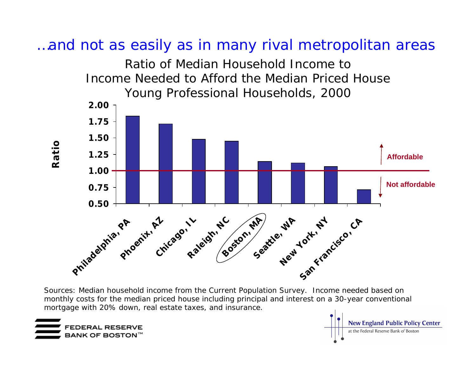





Sources: Median household income from the Current Population Survey. Income needed based on monthly costs for the median priced house including principal and interest on a 30-year conventional mortgage with 20% down, real estate taxes, and insurance.



**Ratio**

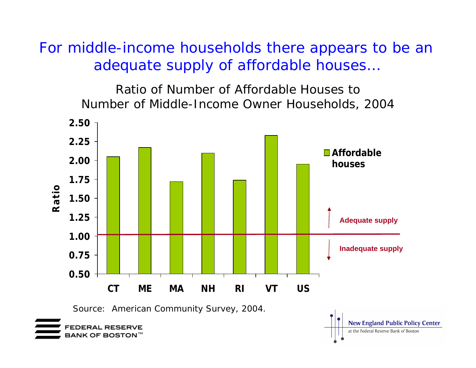For middle-income households there appears to be an adequate supply of affordable houses…

> Ratio of Number of Affordable Houses to Number of Middle-Income Owner Households, 2004

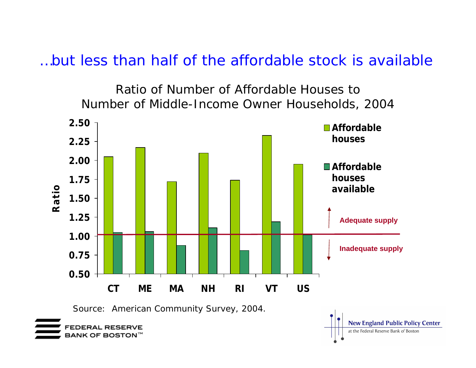…but less than half of the affordable stock is available

Ratio of Number of Affordable Houses to Number of Middle-Income Owner Households, 2004

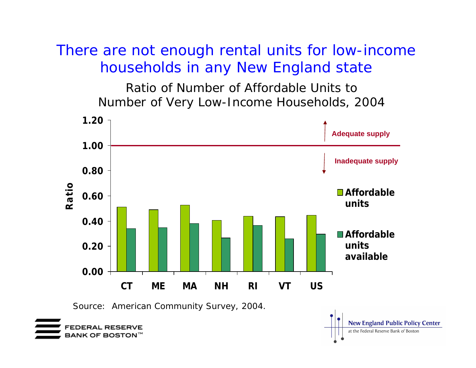### There are not enough rental units for low-income households in any New England state

Ratio of Number of Affordable Units to Number of Very Low-Income Households, 2004



BANK OF BOSTON  $^\mathbb{M}$ 

at the Federal Reserve Bank of Boston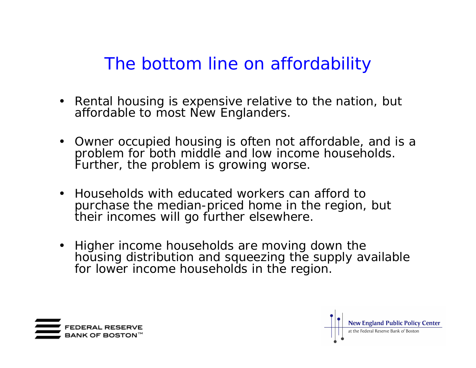## The bottom line on affordability

- Rental housing is expensive relative to the nation, but affordable to most New Englanders.
- Owner occupied housing is often not affordable, and is a problem for both middle and low income households. Further, the problem is growing worse.
- •Households with educated workers can afford to purchase the median-priced home in the region, but their incomes will go further elsewhere.
- Higher income households are moving down the housing distribution and squeezing the supply available for lower income households in the region.



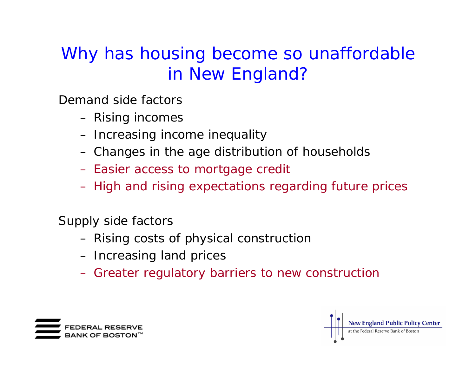# Why has housing become so unaffordable in New England?

Demand side factors

- Rising incomes
- Increasing income inequality
- Changes in the age distribution of households
- Easier access to mortgage credit
- High and rising expectations regarding future prices

Supply side factors

- Rising costs of physical construction
- Increasing land prices
- Greater regulatory barriers to new construction



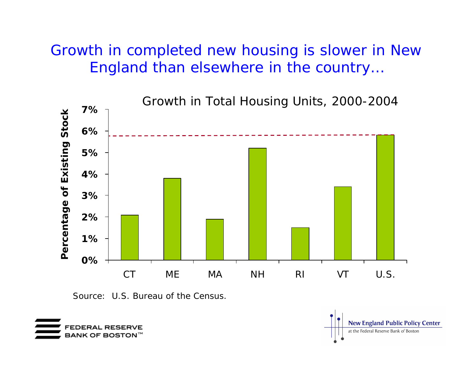### Growth in completed new housing is slower in New England than elsewhere in the country…



Source: U.S. Bureau of the Census.



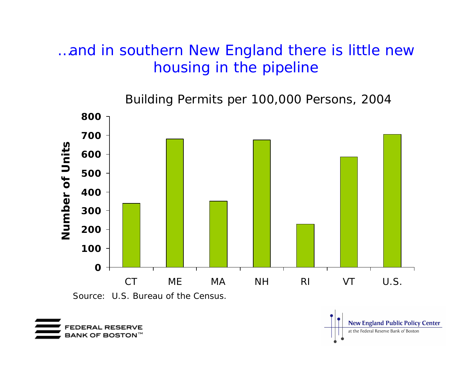### …and in southern New England there is little new housing in the pipeline

Building Permits per 100,000 Per sons, 2004



**New England Public Policy Center** 

at the Federal Reserve Bank of Boston

Source: U.S. Bureau of the Census.